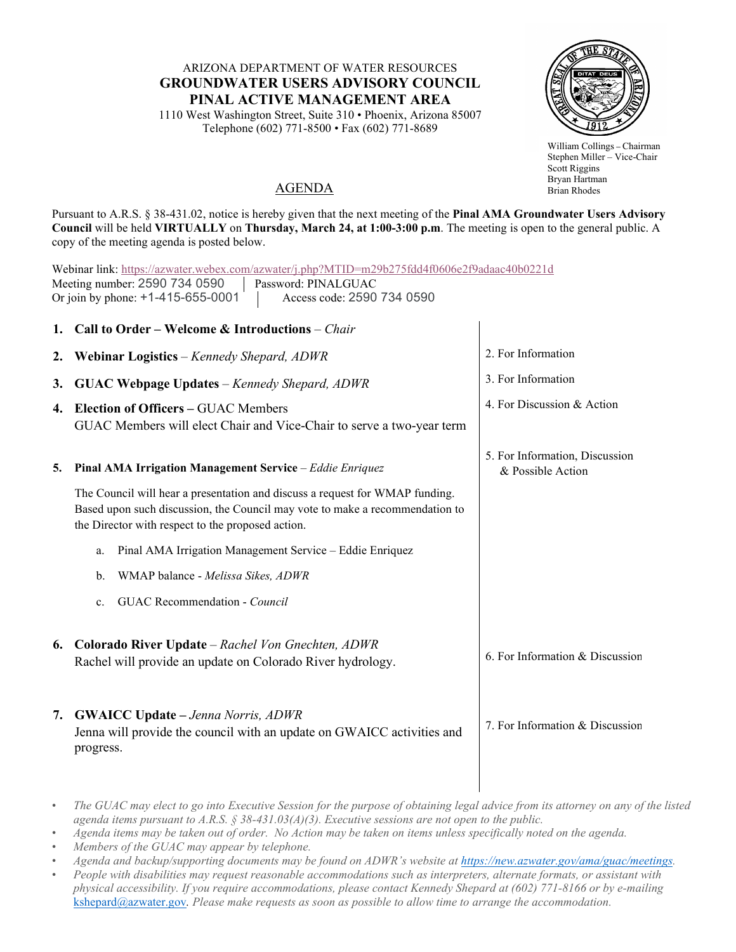## ARIZONA DEPARTMENT OF WATER RESOURCES **GROUNDWATER USERS ADVISORY COUNCIL PINAL ACTIVE MANAGEMENT AREA**

1110 West Washington Street, Suite 310 • Phoenix, Arizona 85007 Telephone (602) 771-8500 • Fax (602) 771-8689



William Collings **–** Chairman Stephen Miller – Vice-Chair Scott Riggins Bryan Hartman Brian Rhodes

## AGENDA

Pursuant to A.R.S. § 38-431.02, notice is hereby given that the next meeting of the **Pinal AMA Groundwater Users Advisory Council** will be held **VIRTUALLY** on **Thursday, March 24, at 1:00-3:00 p.m**. The meeting is open to the general public. A copy of the meeting agenda is posted below.

| Webinar link: https://azwater.webex.com/azwater/j.php?MTID=m29b275fdd4f0606e2f9adaac40b0221d<br>Meeting number: 2590 734 0590<br>Password: PINALGUAC<br>Or join by phone: +1-415-655-0001<br>Access code: 2590 734 0590 |                                                                                                                                                                                                                   |                                                     |  |
|-------------------------------------------------------------------------------------------------------------------------------------------------------------------------------------------------------------------------|-------------------------------------------------------------------------------------------------------------------------------------------------------------------------------------------------------------------|-----------------------------------------------------|--|
| 1.                                                                                                                                                                                                                      | Call to Order - Welcome & Introductions - Chair                                                                                                                                                                   |                                                     |  |
| 2.                                                                                                                                                                                                                      | Webinar Logistics – Kennedy Shepard, ADWR                                                                                                                                                                         | 2. For Information                                  |  |
| 3.                                                                                                                                                                                                                      | <b>GUAC Webpage Updates</b> – Kennedy Shepard, ADWR                                                                                                                                                               | 3. For Information                                  |  |
|                                                                                                                                                                                                                         | 4. Election of Officers – GUAC Members<br>GUAC Members will elect Chair and Vice-Chair to serve a two-year term                                                                                                   | 4. For Discussion & Action                          |  |
| 5.                                                                                                                                                                                                                      | Pinal AMA Irrigation Management Service - Eddie Enriquez                                                                                                                                                          | 5. For Information, Discussion<br>& Possible Action |  |
|                                                                                                                                                                                                                         | The Council will hear a presentation and discuss a request for WMAP funding.<br>Based upon such discussion, the Council may vote to make a recommendation to<br>the Director with respect to the proposed action. |                                                     |  |
|                                                                                                                                                                                                                         | Pinal AMA Irrigation Management Service - Eddie Enriquez<br>a.                                                                                                                                                    |                                                     |  |
|                                                                                                                                                                                                                         | WMAP balance - Melissa Sikes, ADWR<br>b.                                                                                                                                                                          |                                                     |  |
|                                                                                                                                                                                                                         | GUAC Recommendation - Council<br>c.                                                                                                                                                                               |                                                     |  |
|                                                                                                                                                                                                                         | 6. Colorado River Update – Rachel Von Gnechten, ADWR<br>Rachel will provide an update on Colorado River hydrology.                                                                                                | 6. For Information & Discussion                     |  |
|                                                                                                                                                                                                                         | 7. GWAICC Update - Jenna Norris, ADWR<br>Jenna will provide the council with an update on GWAICC activities and<br>progress.                                                                                      | 7. For Information & Discussion                     |  |

<sup>•</sup> *The GUAC may elect to go into Executive Session for the purpose of obtaining legal advice from its attorney on any of the listed agenda items pursuant to A.R.S. § 38-431.03(A)(3). Executive sessions are not open to the public.*

- *Members of the GUAC may appear by telephone.*
- *Agenda and backup/supporting documents may be found on ADWR's website a[t https://new.azwater.gov/ama/guac/meetings.](https://new.azwater.gov/ama/guac/meetings)*
- *People with disabilities may request reasonable accommodations such as interpreters, alternate formats, or assistant with physical accessibility. If you require accommodations, please contact Kennedy Shepard at (602) 771-8166 or by e-mailing*  [kshepard@azwater.gov](mailto:kshepard@azwater.gov)*. Please make requests as soon as possible to allow time to arrange the accommodation.*

<sup>•</sup> *Agenda items may be taken out of order. No Action may be taken on items unless specifically noted on the agenda.*